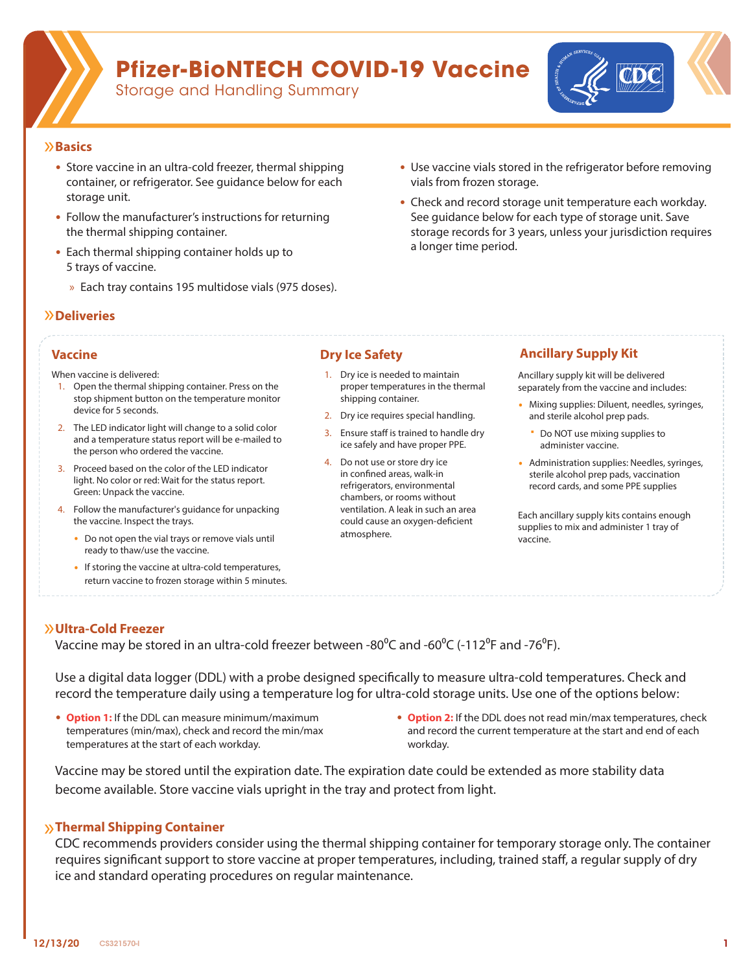

## **Pfizer-BioNTECH COVID-19 Vaccine**

Storage and Handling Summary



#### Ů**Basics**

- Store vaccine in an ultra-cold freezer, thermal shipping container, or refrigerator. See guidance below for each storage unit.
- Follow the manufacturer's instructions for returning the thermal shipping container.
- Each thermal shipping container holds up to 5 trays of vaccine.
	- » Each tray contains 195 multidose vials (975 doses).

## Ů**Deliveries**

When vaccine is delivered:

- 1. Open the thermal shipping container. Press on the stop shipment button on the temperature monitor device for 5 seconds.
- 2. The LED indicator light will change to a solid color and a temperature status report will be e-mailed to the person who ordered the vaccine.
- 3. Proceed based on the color of the LED indicator light. No color or red: Wait for the status report. Green: Unpack the vaccine.
- 4. Follow the manufacturer's guidance for unpacking the vaccine. Inspect the trays.
	- ∙ Do not open the vial trays or remove vials until ready to thaw/use the vaccine.
	- ∙ If storing the vaccine at ultra-cold temperatures, return vaccine to frozen storage within 5 minutes.

- 1. Dry ice is needed to maintain proper temperatures in the thermal shipping container.
- 2. Dry ice requires special handling.
- 3. Ensure staff is trained to handle dry ice safely and have proper PPE.
- 4. Do not use or store dry ice in confined areas, walk-in refrigerators, environmental chambers, or rooms without ventilation. A leak in such an area could cause an oxygen-deficient atmosphere.

### **Vaccine Dry Ice Safety Ancillary Supply Kit**

• Use vaccine vials stored in the refrigerator before removing

• Check and record storage unit temperature each workday. See guidance below for each type of storage unit. Save storage records for 3 years, unless your jurisdiction requires

vials from frozen storage.

a longer time period.

Ancillary supply kit will be delivered separately from the vaccine and includes:

- ∙ Mixing supplies: Diluent, needles, syringes, and sterile alcohol prep pads.
	- Do NOT use mixing supplies to administer vaccine.
- ∙ Administration supplies: Needles, syringes, sterile alcohol prep pads, vaccination record cards, and some PPE supplies

Each ancillary supply kits contains enough supplies to mix and administer 1 tray of vaccine.

### Ů**Ultra-Cold Freezer**

Vaccine may be stored in an ultra-cold freezer between -80 $^{\circ}$ C and -60 $^{\circ}$ C (-112 $^{\circ}$ F and -76 $^{\circ}$ F).

Use a digital data logger (DDL) with a probe designed specifically to measure ultra-cold temperatures. Check and record the temperature daily using a temperature log for ultra-cold storage units. Use one of the options below:

- **Option 1:** If the DDL can measure minimum/maximum temperatures (min/max), check and record the min/max temperatures at the start of each workday.
- **Option 2:** If the DDL does not read min/max temperatures, check and record the current temperature at the start and end of each workday.

Vaccine may be stored until the expiration date. The expiration date could be extended as more stability data become available. Store vaccine vials upright in the tray and protect from light.

### »**Thermal Shipping Container**

CDC recommends providers consider using the thermal shipping container for temporary storage only. The container requires significant support to store vaccine at proper temperatures, including, trained staff, a regular supply of dry ice and standard operating procedures on regular maintenance.